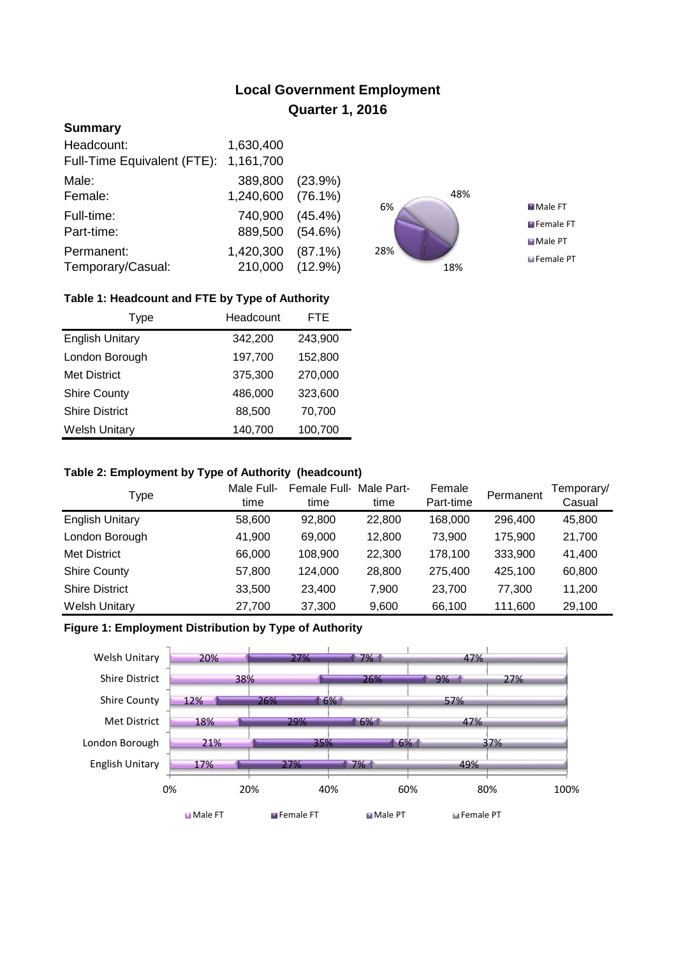# **Local Government Employment Quarter 1, 2016**

## **Summary**

| Headcount:                  | 1,630,400         |            |
|-----------------------------|-------------------|------------|
| Full-Time Equivalent (FTE): | 1,161,700         |            |
| Male:                       | 389,800 (23.9%)   |            |
| Female:                     | 1,240,600 (76.1%) |            |
| Full-time:                  | 740,900           | $(45.4\%)$ |
| Part-time:                  | 889,500 (54.6%)   |            |
| Permanent:                  | 1,420,300         | $(87.1\%)$ |
| Temporary/Casual:           | 210,000 (12.9%)   |            |



## **Table 1: Headcount and FTE by Type of Authority**

| Type                   | Headcount |         |
|------------------------|-----------|---------|
| <b>English Unitary</b> | 342,200   | 243,900 |
| London Borough         | 197,700   | 152,800 |
| <b>Met District</b>    | 375,300   | 270,000 |
| <b>Shire County</b>    | 486,000   | 323,600 |
| <b>Shire District</b>  | 88,500    | 70,700  |
| <b>Welsh Unitary</b>   | 140,700   | 100,700 |

#### **Table 2: Employment by Type of Authority (headcount)**

| Type                   | Male Full-<br>time | Female Full-<br>time | Male Part-<br>time | Female<br>Part-time | Permanent | Temporary/<br>Casual |
|------------------------|--------------------|----------------------|--------------------|---------------------|-----------|----------------------|
| <b>English Unitary</b> | 58,600             | 92.800               | 22,800             | 168,000             | 296,400   | 45,800               |
| London Borough         | 41,900             | 69,000               | 12,800             | 73.900              | 175,900   | 21,700               |
| <b>Met District</b>    | 66,000             | 108,900              | 22,300             | 178,100             | 333,900   | 41,400               |
| <b>Shire County</b>    | 57,800             | 124,000              | 28,800             | 275.400             | 425,100   | 60,800               |
| <b>Shire District</b>  | 33,500             | 23,400               | 7.900              | 23,700              | 77.300    | 11,200               |
| <b>Welsh Unitary</b>   | 27,700             | 37,300               | 9,600              | 66,100              | 111,600   | 29,100               |

## **Figure 1: Employment Distribution by Type of Authority**